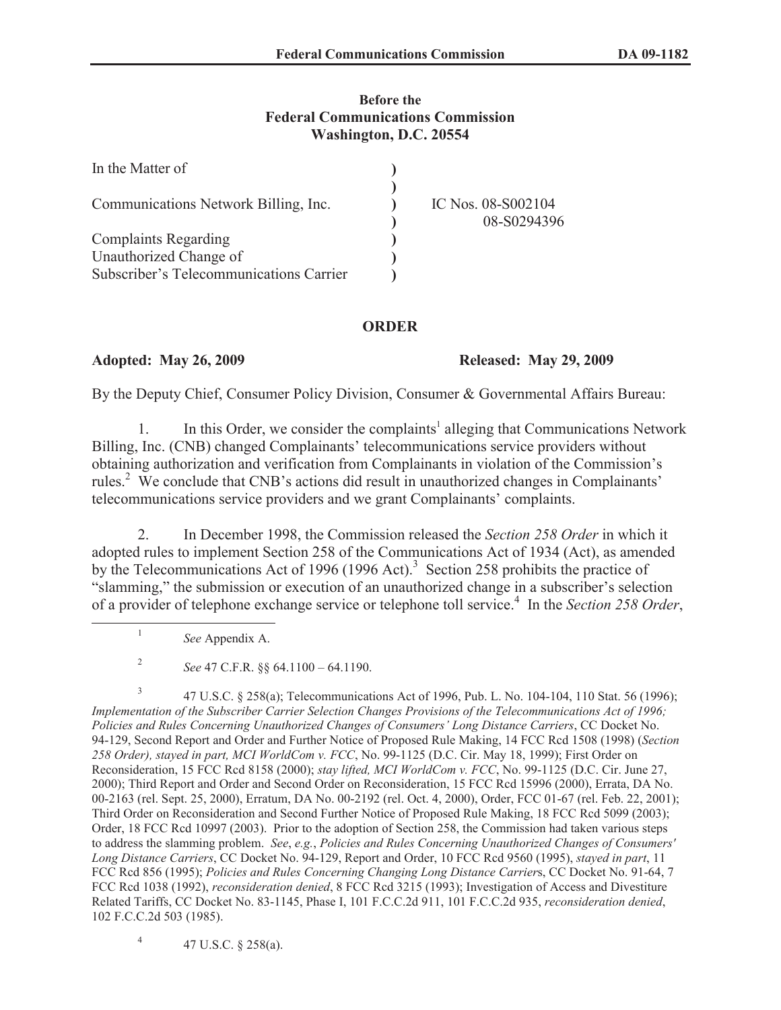## **Before the Federal Communications Commission Washington, D.C. 20554**

| In the Matter of                        |                                   |
|-----------------------------------------|-----------------------------------|
| Communications Network Billing, Inc.    | IC Nos. 08-S002104<br>08-S0294396 |
| <b>Complaints Regarding</b>             |                                   |
| Unauthorized Change of                  |                                   |
| Subscriber's Telecommunications Carrier |                                   |

## **ORDER**

**Adopted: May 26, 2009 Released: May 29, 2009** 

By the Deputy Chief, Consumer Policy Division, Consumer & Governmental Affairs Bureau:

1. In this Order, we consider the complaints<sup>1</sup> alleging that Communications Network Billing, Inc. (CNB) changed Complainants' telecommunications service providers without obtaining authorization and verification from Complainants in violation of the Commission's rules.<sup>2</sup> We conclude that CNB's actions did result in unauthorized changes in Complainants' telecommunications service providers and we grant Complainants' complaints.

2. In December 1998, the Commission released the *Section 258 Order* in which it adopted rules to implement Section 258 of the Communications Act of 1934 (Act), as amended by the Telecommunications Act of 1996 (1996 Act).<sup>3</sup> Section 258 prohibits the practice of "slamming," the submission or execution of an unauthorized change in a subscriber's selection of a provider of telephone exchange service or telephone toll service.<sup>4</sup> In the *Section 258 Order*,

*See* Appendix A.

1

2 *See* 47 C.F.R. §§ 64.1100 – 64.1190.

3 47 U.S.C. § 258(a); Telecommunications Act of 1996, Pub. L. No. 104-104, 110 Stat. 56 (1996); *Implementation of the Subscriber Carrier Selection Changes Provisions of the Telecommunications Act of 1996; Policies and Rules Concerning Unauthorized Changes of Consumers' Long Distance Carriers*, CC Docket No. 94-129, Second Report and Order and Further Notice of Proposed Rule Making, 14 FCC Rcd 1508 (1998) (*Section 258 Order), stayed in part, MCI WorldCom v. FCC*, No. 99-1125 (D.C. Cir. May 18, 1999); First Order on Reconsideration, 15 FCC Rcd 8158 (2000); *stay lifted, MCI WorldCom v. FCC*, No. 99-1125 (D.C. Cir. June 27, 2000); Third Report and Order and Second Order on Reconsideration, 15 FCC Rcd 15996 (2000), Errata, DA No. 00-2163 (rel. Sept. 25, 2000), Erratum, DA No. 00-2192 (rel. Oct. 4, 2000), Order, FCC 01-67 (rel. Feb. 22, 2001); Third Order on Reconsideration and Second Further Notice of Proposed Rule Making, 18 FCC Rcd 5099 (2003); Order, 18 FCC Rcd 10997 (2003). Prior to the adoption of Section 258, the Commission had taken various steps to address the slamming problem. *See*, *e.g.*, *Policies and Rules Concerning Unauthorized Changes of Consumers' Long Distance Carriers*, CC Docket No. 94-129, Report and Order, 10 FCC Rcd 9560 (1995), *stayed in part*, 11 FCC Rcd 856 (1995); *Policies and Rules Concerning Changing Long Distance Carrier*s, CC Docket No. 91-64, 7 FCC Rcd 1038 (1992), *reconsideration denied*, 8 FCC Rcd 3215 (1993); Investigation of Access and Divestiture Related Tariffs, CC Docket No. 83-1145, Phase I, 101 F.C.C.2d 911, 101 F.C.C.2d 935, *reconsideration denied*, 102 F.C.C.2d 503 (1985).

4 47 U.S.C. § 258(a).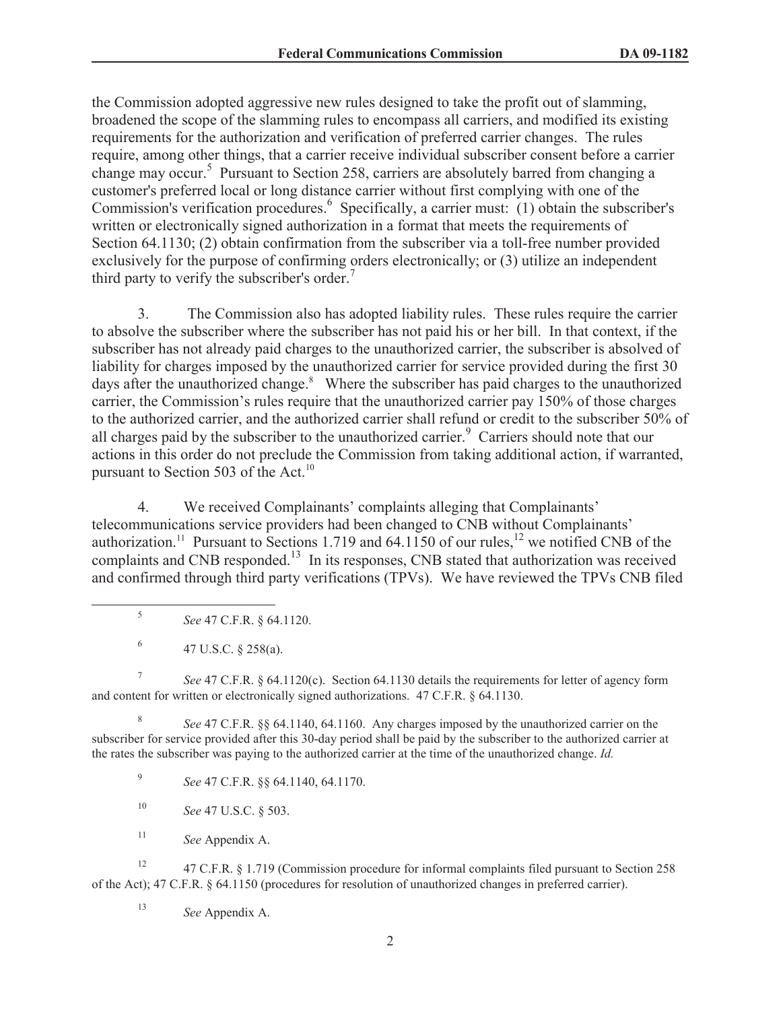the Commission adopted aggressive new rules designed to take the profit out of slamming, broadened the scope of the slamming rules to encompass all carriers, and modified its existing requirements for the authorization and verification of preferred carrier changes. The rules require, among other things, that a carrier receive individual subscriber consent before a carrier change may occur.<sup>5</sup> Pursuant to Section 258, carriers are absolutely barred from changing a customer's preferred local or long distance carrier without first complying with one of the Commission's verification procedures.<sup>6</sup> Specifically, a carrier must: (1) obtain the subscriber's written or electronically signed authorization in a format that meets the requirements of Section 64.1130; (2) obtain confirmation from the subscriber via a toll-free number provided exclusively for the purpose of confirming orders electronically; or (3) utilize an independent third party to verify the subscriber's order.<sup>7</sup>

3. The Commission also has adopted liability rules. These rules require the carrier to absolve the subscriber where the subscriber has not paid his or her bill. In that context, if the subscriber has not already paid charges to the unauthorized carrier, the subscriber is absolved of liability for charges imposed by the unauthorized carrier for service provided during the first 30 days after the unauthorized change.<sup>8</sup> Where the subscriber has paid charges to the unauthorized carrier, the Commission's rules require that the unauthorized carrier pay 150% of those charges to the authorized carrier, and the authorized carrier shall refund or credit to the subscriber 50% of all charges paid by the subscriber to the unauthorized carrier.<sup>9</sup> Carriers should note that our actions in this order do not preclude the Commission from taking additional action, if warranted, pursuant to Section 503 of the Act.<sup>10</sup>

4. We received Complainants' complaints alleging that Complainants' telecommunications service providers had been changed to CNB without Complainants' authorization.<sup>11</sup> Pursuant to Sections 1.719 and 64.1150 of our rules,<sup>12</sup> we notified CNB of the complaints and CNB responded.<sup>13</sup> In its responses, CNB stated that authorization was received and confirmed through third party verifications (TPVs). We have reviewed the TPVs CNB filed

- 5 *See* 47 C.F.R. § 64.1120.
- 6 47 U.S.C. § 258(a).

7 *See* 47 C.F.R. § 64.1120(c). Section 64.1130 details the requirements for letter of agency form and content for written or electronically signed authorizations. 47 C.F.R. § 64.1130.

8 *See* 47 C.F.R. §§ 64.1140, 64.1160. Any charges imposed by the unauthorized carrier on the subscriber for service provided after this 30-day period shall be paid by the subscriber to the authorized carrier at the rates the subscriber was paying to the authorized carrier at the time of the unauthorized change. *Id.*

9 *See* 47 C.F.R. §§ 64.1140, 64.1170.

- <sup>10</sup> *See* 47 U.S.C. § 503.
- <sup>11</sup> *See* Appendix A.

<sup>12</sup> 47 C.F.R. § 1.719 (Commission procedure for informal complaints filed pursuant to Section 258 of the Act); 47 C.F.R. § 64.1150 (procedures for resolution of unauthorized changes in preferred carrier).

<sup>13</sup> *See* Appendix A.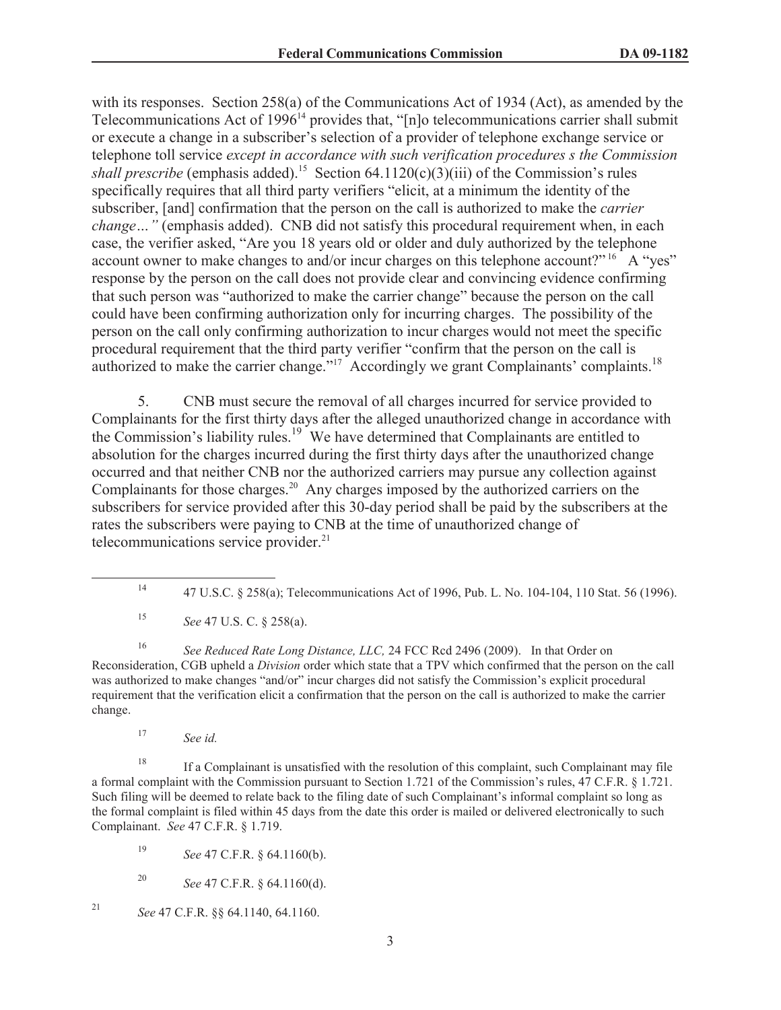with its responses. Section 258(a) of the Communications Act of 1934 (Act), as amended by the Telecommunications Act of 1996<sup>14</sup> provides that, "[n]o telecommunications carrier shall submit or execute a change in a subscriber's selection of a provider of telephone exchange service or telephone toll service *except in accordance with such verification procedures s the Commission shall prescribe* (emphasis added).<sup>15</sup> Section 64.1120(c)(3)(iii) of the Commission's rules specifically requires that all third party verifiers "elicit, at a minimum the identity of the subscriber, [and] confirmation that the person on the call is authorized to make the *carrier change* ... " (emphasis added). CNB did not satisfy this procedural requirement when, in each case, the verifier asked, "Are you 18 years old or older and duly authorized by the telephone account owner to make changes to and/or incur charges on this telephone account?" <sup>16</sup> A "yes" response by the person on the call does not provide clear and convincing evidence confirming that such person was "authorized to make the carrier change" because the person on the call could have been confirming authorization only for incurring charges. The possibility of the person on the call only confirming authorization to incur charges would not meet the specific procedural requirement that the third party verifier "confirm that the person on the call is authorized to make the carrier change."<sup>17</sup> Accordingly we grant Complainants' complaints.<sup>18</sup>

5. CNB must secure the removal of all charges incurred for service provided to Complainants for the first thirty days after the alleged unauthorized change in accordance with the Commission's liability rules.<sup>19</sup> We have determined that Complainants are entitled to absolution for the charges incurred during the first thirty days after the unauthorized change occurred and that neither CNB nor the authorized carriers may pursue any collection against Complainants for those charges.<sup>20</sup> Any charges imposed by the authorized carriers on the subscribers for service provided after this 30-day period shall be paid by the subscribers at the rates the subscribers were paying to CNB at the time of unauthorized change of telecommunications service provider.<sup>21</sup>

<sup>16</sup> *See Reduced Rate Long Distance, LLC,* 24 FCC Rcd 2496 (2009). In that Order on Reconsideration, CGB upheld a *Division* order which state that a TPV which confirmed that the person on the call was authorized to make changes "and/or" incur charges did not satisfy the Commission's explicit procedural requirement that the verification elicit a confirmation that the person on the call is authorized to make the carrier change.

<sup>17</sup> *See id.*

<sup>18</sup> If a Complainant is unsatisfied with the resolution of this complaint, such Complainant may file a formal complaint with the Commission pursuant to Section 1.721 of the Commission's rules, 47 C.F.R. § 1.721. Such filing will be deemed to relate back to the filing date of such Complainant's informal complaint so long as the formal complaint is filed within 45 days from the date this order is mailed or delivered electronically to such Complainant. *See* 47 C.F.R. § 1.719.

<sup>19</sup> *See* 47 C.F.R. § 64.1160(b).

<sup>20</sup> *See* 47 C.F.R. § 64.1160(d).

<sup>21</sup> *See* 47 C.F.R. §§ 64.1140, 64.1160.

<sup>14</sup> 47 U.S.C. § 258(a); Telecommunications Act of 1996, Pub. L. No. 104-104, 110 Stat. 56 (1996).

<sup>15</sup> *See* 47 U.S. C. § 258(a).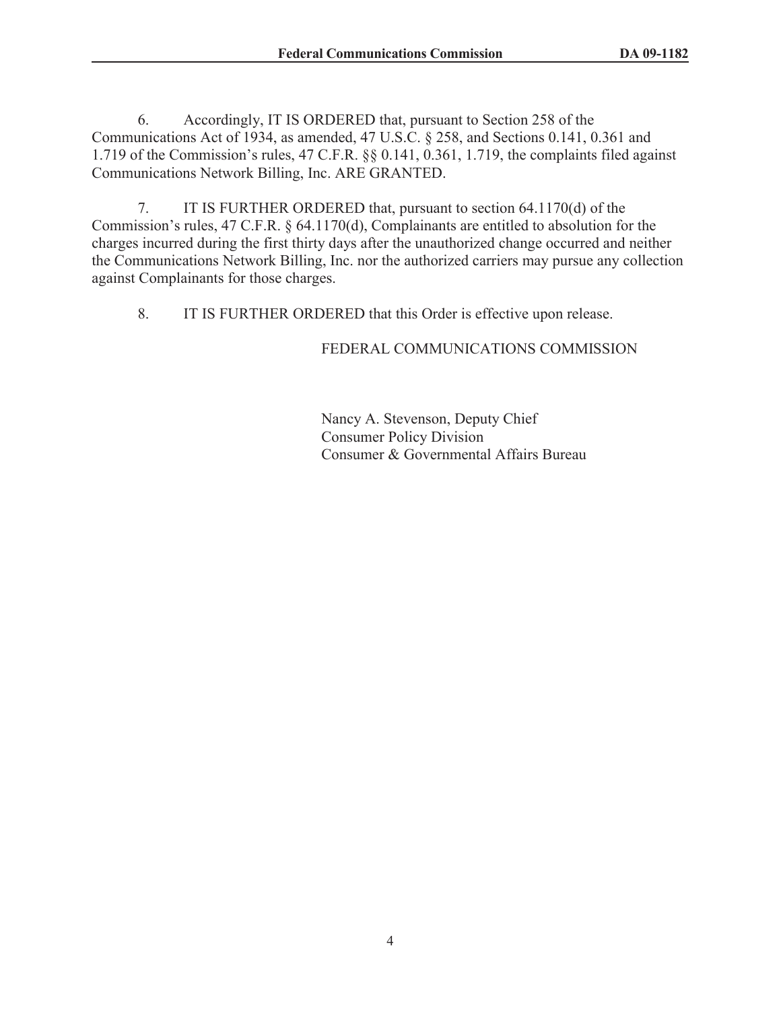6. Accordingly, IT IS ORDERED that, pursuant to Section 258 of the Communications Act of 1934, as amended, 47 U.S.C. § 258, and Sections 0.141, 0.361 and 1.719 of the Commission's rules, 47 C.F.R. §§ 0.141, 0.361, 1.719, the complaints filed against Communications Network Billing, Inc. ARE GRANTED.

7. IT IS FURTHER ORDERED that, pursuant to section 64.1170(d) of the Commission's rules, 47 C.F.R. § 64.1170(d), Complainants are entitled to absolution for the charges incurred during the first thirty days after the unauthorized change occurred and neither the Communications Network Billing, Inc. nor the authorized carriers may pursue any collection against Complainants for those charges.

8. IT IS FURTHER ORDERED that this Order is effective upon release.

## FEDERAL COMMUNICATIONS COMMISSION

Nancy A. Stevenson, Deputy Chief Consumer Policy Division Consumer & Governmental Affairs Bureau